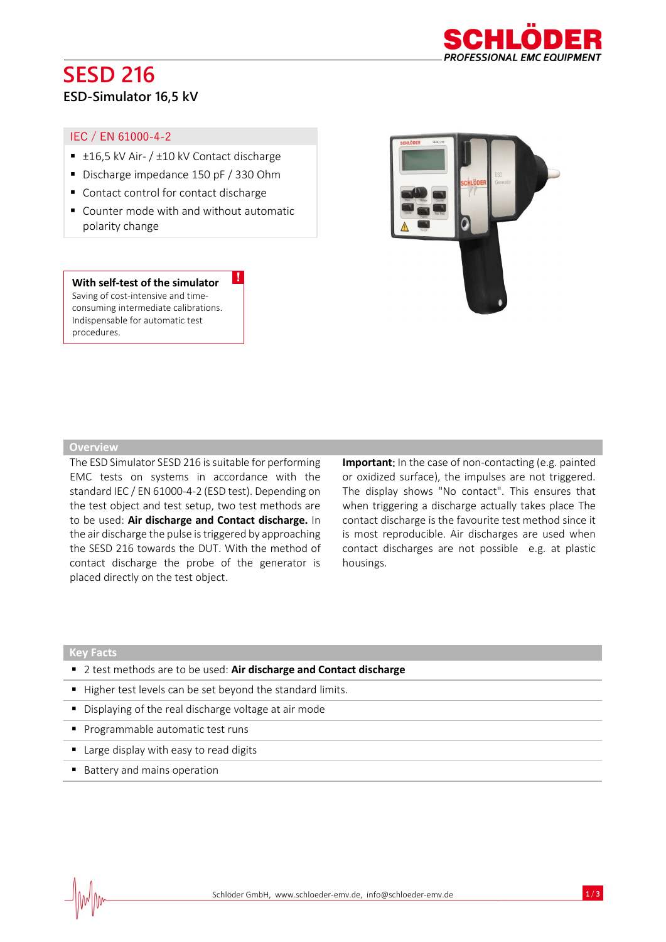# **SESD 216**



# **ESD-Simulator 16,5 kV**

### IEC / EN 61000-4-2

- $±16,5$  kV Air-  $/±10$  kV Contact discharge
- Discharge impedance 150 pF / 330 Ohm
- Contact control for contact discharge
- Counter mode with and without automatic polarity change

!

#### **With self-test of the simulator**

Saving of cost-intensive and timeconsuming intermediate calibrations. Indispensable for automatic test procedures.



#### **Overview**

The ESD Simulator SESD 216 is suitable for performing EMC tests on systems in accordance with the standard IEC / EN 61000-4-2 (ESD test). Depending on the test object and test setup, two test methods are to be used: **Air discharge and Contact discharge.** In the air discharge the pulse is triggered by approaching the SESD 216 towards the DUT. With the method of contact discharge the probe of the generator is placed directly on the test object.

**Important**: In the case of non-contacting (e.g. painted or oxidized surface), the impulses are not triggered. The display shows "No contact". This ensures that when triggering a discharge actually takes place The contact discharge is the favourite test method since it is most reproducible. Air discharges are used when contact discharges are not possible e.g. at plastic housings.

#### **Key Facts**

- 2 test methods are to be used: Air discharge and Contact discharge
- Higher test levels can be set beyond the standard limits.
- Displaying of the real discharge voltage at air mode
- **•** Programmable automatic test runs
- Large display with easy to read digits
- Battery and mains operation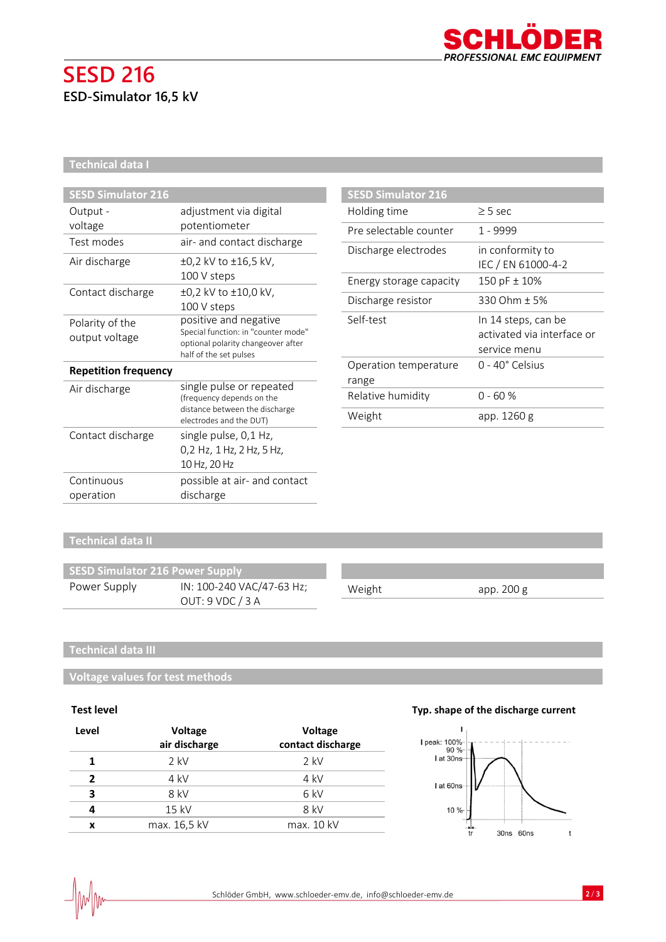

# **SESD 216 ESD-Simulator 16,5 kV**

## **Technical data I**

| <b>SESD Simulator 216</b>         |                                                                                                                              |
|-----------------------------------|------------------------------------------------------------------------------------------------------------------------------|
| Output -                          | adjustment via digital                                                                                                       |
| voltage                           | potentiometer                                                                                                                |
| Test modes                        | air- and contact discharge                                                                                                   |
| Air discharge                     | ±0,2 kV to ±16,5 kV,                                                                                                         |
|                                   | 100 V steps                                                                                                                  |
| Contact discharge                 | ±0,2 kV to ±10,0 kV,                                                                                                         |
|                                   | 100 V steps                                                                                                                  |
| Polarity of the<br>output voltage | positive and negative<br>Special function: in "counter mode"<br>optional polarity changeover after<br>half of the set pulses |
| <b>Repetition frequency</b>       |                                                                                                                              |
| Air discharge                     | single pulse or repeated<br>(frequency depends on the<br>distance between the discharge<br>electrodes and the DUT)           |
| Contact discharge                 | single pulse, 0,1 Hz,                                                                                                        |
|                                   | 0,2 Hz, 1 Hz, 2 Hz, 5 Hz,                                                                                                    |
|                                   | 10 Hz, 20 Hz                                                                                                                 |
| Continuous                        | possible at air- and contact                                                                                                 |
| operation                         | discharge                                                                                                                    |

| <b>SESD Simulator 216</b>      |                                                                   |
|--------------------------------|-------------------------------------------------------------------|
| Holding time                   | $\geq$ 5 sec                                                      |
| Pre selectable counter         | 1 - 9999                                                          |
| Discharge electrodes           | in conformity to<br>IEC / EN 61000-4-2                            |
| Energy storage capacity        | 150 pF ± 10%                                                      |
| Discharge resistor             | 330 Ohm ± 5%                                                      |
| Self-test                      | In 14 steps, can be<br>activated via interface or<br>service menu |
| Operation temperature<br>range | $0 - 40^{\circ}$ Celsius                                          |
| Relative humidity              | 0 - 60 %                                                          |
| Weight                         | app. 1260 g                                                       |

# **Technical data II**

| <b>SESD Simulator 216 Power Supply</b> |                           |        |            |
|----------------------------------------|---------------------------|--------|------------|
| Power Supply                           | IN: 100-240 VAC/47-63 Hz; | Weight | app. 200 g |
|                                        | OUT: 9 VDC / 3 A          |        |            |

## **Technical data III**

**Voltage values for test methods**

| Level | Voltage<br>air discharge | <b>Voltage</b><br>contact discharge |
|-------|--------------------------|-------------------------------------|
|       | $2$ kV                   | $2$ kV                              |
| ν.    | 4 kV                     | $4$ kV                              |
| 3     | 8 kV                     | 6 kV                                |
|       | 15 kV                    | 8 kV                                |
| x     | max. 16,5 kV             | max. 10 kV                          |

## **Test level Typ. shape of the discharge current**